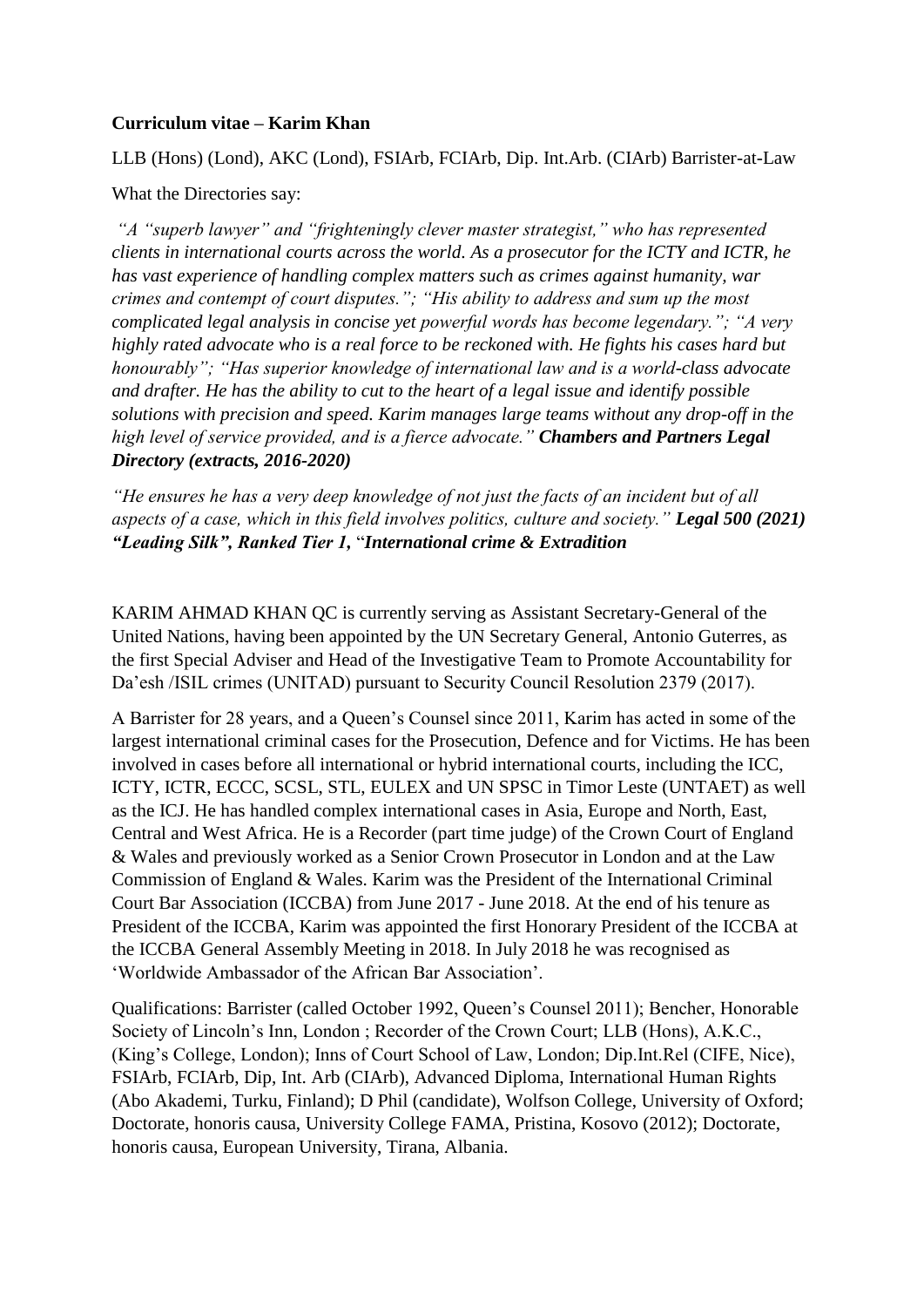#### **Curriculum vitae – Karim Khan**

LLB (Hons) (Lond), AKC (Lond), FSIArb, FCIArb, Dip. Int.Arb. (CIArb) Barrister-at-Law

What the Directories say:

*"A "superb lawyer" and "frighteningly clever master strategist," who has represented clients in international courts across the world. As a prosecutor for the ICTY and ICTR, he has vast experience of handling complex matters such as crimes against humanity, war crimes and contempt of court disputes."; "His ability to address and sum up the most complicated legal analysis in concise yet powerful words has become legendary."; "A very highly rated advocate who is a real force to be reckoned with. He fights his cases hard but honourably"; "Has superior knowledge of international law and is a world-class advocate and drafter. He has the ability to cut to the heart of a legal issue and identify possible solutions with precision and speed. Karim manages large teams without any drop-off in the high level of service provided, and is a fierce advocate." Chambers and Partners Legal Directory (extracts, 2016-2020)*

*"He ensures he has a very deep knowledge of not just the facts of an incident but of all aspects of a case, which in this field involves politics, culture and society." Legal 500 (2021) "Leading Silk", Ranked Tier 1,* "*International crime & Extradition*

KARIM AHMAD KHAN QC is currently serving as Assistant Secretary-General of the United Nations, having been appointed by the UN Secretary General, Antonio Guterres, as the first Special Adviser and Head of the Investigative Team to Promote Accountability for Da'esh /ISIL crimes (UNITAD) pursuant to Security Council Resolution 2379 (2017).

A Barrister for 28 years, and a Queen's Counsel since 2011, Karim has acted in some of the largest international criminal cases for the Prosecution, Defence and for Victims. He has been involved in cases before all international or hybrid international courts, including the ICC, ICTY, ICTR, ECCC, SCSL, STL, EULEX and UN SPSC in Timor Leste (UNTAET) as well as the ICJ. He has handled complex international cases in Asia, Europe and North, East, Central and West Africa. He is a Recorder (part time judge) of the Crown Court of England & Wales and previously worked as a Senior Crown Prosecutor in London and at the Law Commission of England & Wales. Karim was the President of the International Criminal Court Bar Association (ICCBA) from June 2017 - June 2018. At the end of his tenure as President of the ICCBA, Karim was appointed the first Honorary President of the ICCBA at the ICCBA General Assembly Meeting in 2018. In July 2018 he was recognised as 'Worldwide Ambassador of the African Bar Association'.

Qualifications: Barrister (called October 1992, Queen's Counsel 2011); Bencher, Honorable Society of Lincoln's Inn, London ; Recorder of the Crown Court; LLB (Hons), A.K.C., (King's College, London); Inns of Court School of Law, London; Dip.Int.Rel (CIFE, Nice), FSIArb, FCIArb, Dip, Int. Arb (CIArb), Advanced Diploma, International Human Rights (Abo Akademi, Turku, Finland); D Phil (candidate), Wolfson College, University of Oxford; Doctorate, honoris causa, University College FAMA, Pristina, Kosovo (2012); Doctorate, honoris causa, European University, Tirana, Albania.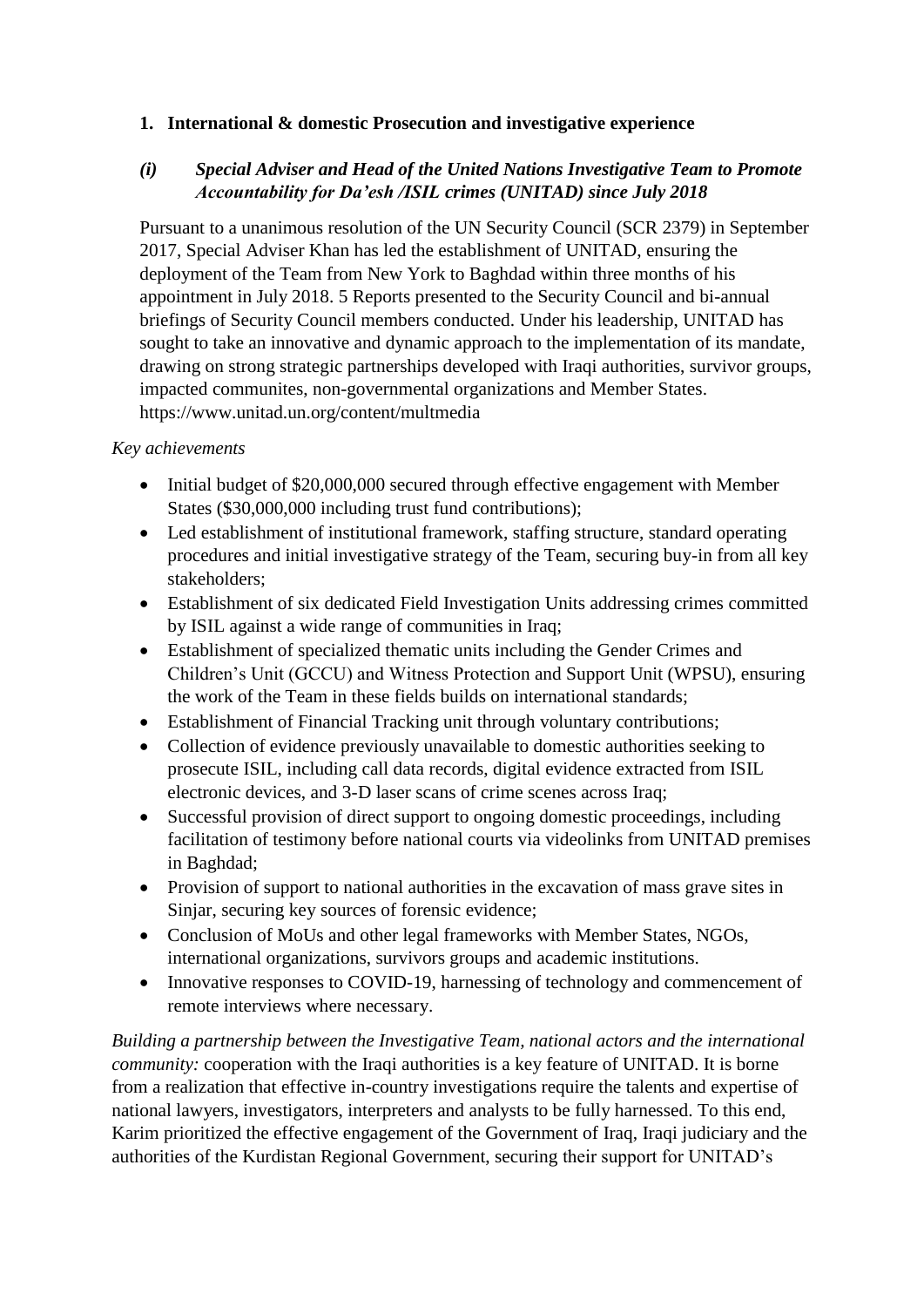### **1. International & domestic Prosecution and investigative experience**

### *(i) Special Adviser and Head of the United Nations Investigative Team to Promote Accountability for Da'esh /ISIL crimes (UNITAD) since July 2018*

Pursuant to a unanimous resolution of the UN Security Council (SCR 2379) in September 2017, Special Adviser Khan has led the establishment of UNITAD, ensuring the deployment of the Team from New York to Baghdad within three months of his appointment in July 2018. 5 Reports presented to the Security Council and bi-annual briefings of Security Council members conducted. Under his leadership, UNITAD has sought to take an innovative and dynamic approach to the implementation of its mandate, drawing on strong strategic partnerships developed with Iraqi authorities, survivor groups, impacted communites, non-governmental organizations and Member States. https://www.unitad.un.org/content/multmedia

### *Key achievements*

- Initial budget of \$20,000,000 secured through effective engagement with Member States (\$30,000,000 including trust fund contributions);
- Led establishment of institutional framework, staffing structure, standard operating procedures and initial investigative strategy of the Team, securing buy-in from all key stakeholders;
- Establishment of six dedicated Field Investigation Units addressing crimes committed by ISIL against a wide range of communities in Iraq;
- Establishment of specialized thematic units including the Gender Crimes and Children's Unit (GCCU) and Witness Protection and Support Unit (WPSU), ensuring the work of the Team in these fields builds on international standards;
- Establishment of Financial Tracking unit through voluntary contributions;
- Collection of evidence previously unavailable to domestic authorities seeking to prosecute ISIL, including call data records, digital evidence extracted from ISIL electronic devices, and 3-D laser scans of crime scenes across Iraq;
- Successful provision of direct support to ongoing domestic proceedings, including facilitation of testimony before national courts via videolinks from UNITAD premises in Baghdad;
- Provision of support to national authorities in the excavation of mass grave sites in Sinjar, securing key sources of forensic evidence;
- Conclusion of MoUs and other legal frameworks with Member States, NGOs, international organizations, survivors groups and academic institutions.
- Innovative responses to COVID-19, harnessing of technology and commencement of remote interviews where necessary.

*Building a partnership between the Investigative Team, national actors and the international community:* cooperation with the Iraqi authorities is a key feature of UNITAD. It is borne from a realization that effective in-country investigations require the talents and expertise of national lawyers, investigators, interpreters and analysts to be fully harnessed. To this end, Karim prioritized the effective engagement of the Government of Iraq, Iraqi judiciary and the authorities of the Kurdistan Regional Government, securing their support for UNITAD's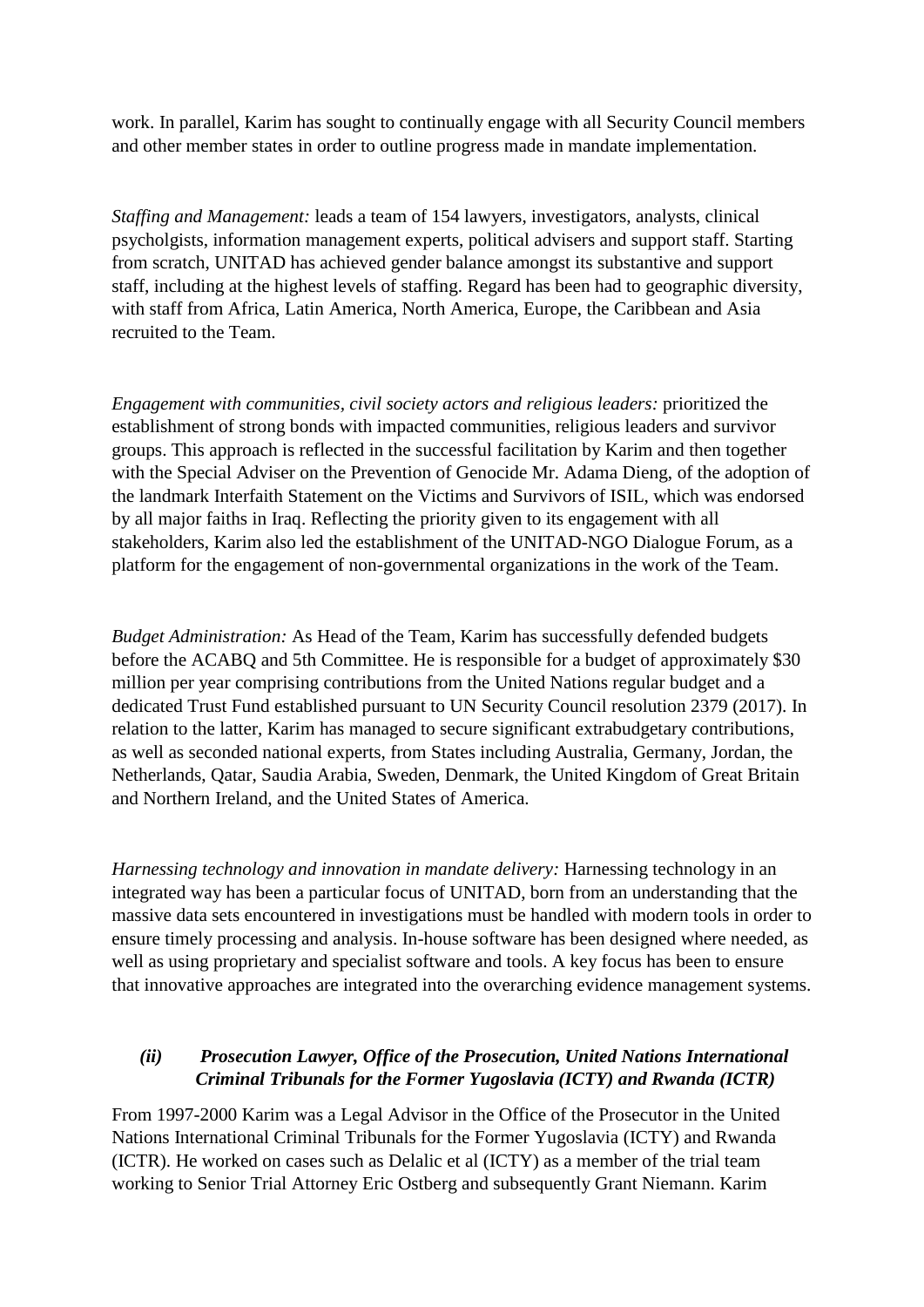work. In parallel, Karim has sought to continually engage with all Security Council members and other member states in order to outline progress made in mandate implementation.

*Staffing and Management:* leads a team of 154 lawyers, investigators, analysts, clinical psycholgists, information management experts, political advisers and support staff. Starting from scratch, UNITAD has achieved gender balance amongst its substantive and support staff, including at the highest levels of staffing. Regard has been had to geographic diversity, with staff from Africa, Latin America, North America, Europe, the Caribbean and Asia recruited to the Team.

*Engagement with communities, civil society actors and religious leaders:* prioritized the establishment of strong bonds with impacted communities, religious leaders and survivor groups. This approach is reflected in the successful facilitation by Karim and then together with the Special Adviser on the Prevention of Genocide Mr. Adama Dieng, of the adoption of the landmark Interfaith Statement on the Victims and Survivors of ISIL, which was endorsed by all major faiths in Iraq. Reflecting the priority given to its engagement with all stakeholders, Karim also led the establishment of the UNITAD-NGO Dialogue Forum, as a platform for the engagement of non-governmental organizations in the work of the Team.

*Budget Administration:* As Head of the Team, Karim has successfully defended budgets before the ACABQ and 5th Committee. He is responsible for a budget of approximately \$30 million per year comprising contributions from the United Nations regular budget and a dedicated Trust Fund established pursuant to UN Security Council resolution 2379 (2017). In relation to the latter, Karim has managed to secure significant extrabudgetary contributions, as well as seconded national experts, from States including Australia, Germany, Jordan, the Netherlands, Qatar, Saudia Arabia, Sweden, Denmark, the United Kingdom of Great Britain and Northern Ireland, and the United States of America.

*Harnessing technology and innovation in mandate delivery:* Harnessing technology in an integrated way has been a particular focus of UNITAD, born from an understanding that the massive data sets encountered in investigations must be handled with modern tools in order to ensure timely processing and analysis. In-house software has been designed where needed, as well as using proprietary and specialist software and tools. A key focus has been to ensure that innovative approaches are integrated into the overarching evidence management systems.

## *(ii) Prosecution Lawyer, Office of the Prosecution, United Nations International Criminal Tribunals for the Former Yugoslavia (ICTY) and Rwanda (ICTR)*

From 1997-2000 Karim was a Legal Advisor in the Office of the Prosecutor in the United Nations International Criminal Tribunals for the Former Yugoslavia (ICTY) and Rwanda (ICTR). He worked on cases such as Delalic et al (ICTY) as a member of the trial team working to Senior Trial Attorney Eric Ostberg and subsequently Grant Niemann. Karim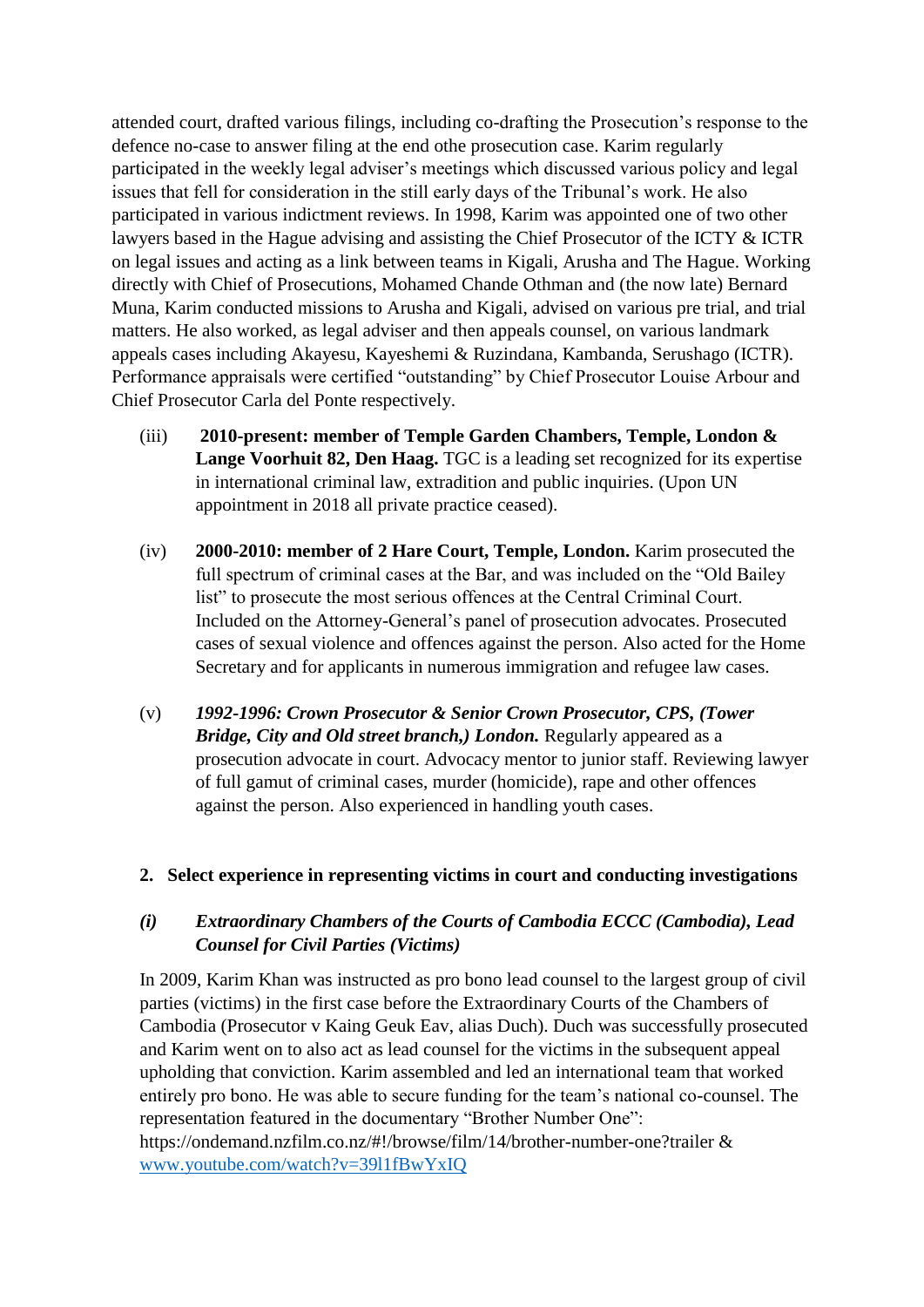attended court, drafted various filings, including co-drafting the Prosecution's response to the defence no-case to answer filing at the end othe prosecution case. Karim regularly participated in the weekly legal adviser's meetings which discussed various policy and legal issues that fell for consideration in the still early days of the Tribunal's work. He also participated in various indictment reviews. In 1998, Karim was appointed one of two other lawyers based in the Hague advising and assisting the Chief Prosecutor of the ICTY & ICTR on legal issues and acting as a link between teams in Kigali, Arusha and The Hague. Working directly with Chief of Prosecutions, Mohamed Chande Othman and (the now late) Bernard Muna, Karim conducted missions to Arusha and Kigali, advised on various pre trial, and trial matters. He also worked, as legal adviser and then appeals counsel, on various landmark appeals cases including Akayesu, Kayeshemi & Ruzindana, Kambanda, Serushago (ICTR). Performance appraisals were certified "outstanding" by Chief Prosecutor Louise Arbour and Chief Prosecutor Carla del Ponte respectively.

- (iii) **2010-present: member of Temple Garden Chambers, Temple, London & Lange Voorhuit 82, Den Haag.** TGC is a leading set recognized for its expertise in international criminal law, extradition and public inquiries. (Upon UN appointment in 2018 all private practice ceased).
- (iv) **2000-2010: member of 2 Hare Court, Temple, London.** Karim prosecuted the full spectrum of criminal cases at the Bar, and was included on the "Old Bailey list" to prosecute the most serious offences at the Central Criminal Court. Included on the Attorney-General's panel of prosecution advocates. Prosecuted cases of sexual violence and offences against the person. Also acted for the Home Secretary and for applicants in numerous immigration and refugee law cases.
- (v) *1992-1996: Crown Prosecutor & Senior Crown Prosecutor, CPS, (Tower Bridge, City and Old street branch,) London.* Regularly appeared as a prosecution advocate in court. Advocacy mentor to junior staff. Reviewing lawyer of full gamut of criminal cases, murder (homicide), rape and other offences against the person. Also experienced in handling youth cases.

### **2. Select experience in representing victims in court and conducting investigations**

### *(i) Extraordinary Chambers of the Courts of Cambodia ECCC (Cambodia), Lead Counsel for Civil Parties (Victims)*

In 2009, Karim Khan was instructed as pro bono lead counsel to the largest group of civil parties (victims) in the first case before the Extraordinary Courts of the Chambers of Cambodia (Prosecutor v Kaing Geuk Eav, alias Duch). Duch was successfully prosecuted and Karim went on to also act as lead counsel for the victims in the subsequent appeal upholding that conviction. Karim assembled and led an international team that worked entirely pro bono. He was able to secure funding for the team's national co-counsel. The representation featured in the documentary "Brother Number One": https://ondemand.nzfilm.co.nz/#!/browse/film/14/brother-number-one?trailer & [www.youtube.com/watch?v=39l1fBwYxIQ](http://www.youtube.com/watch?v=39l1fBwYxIQ)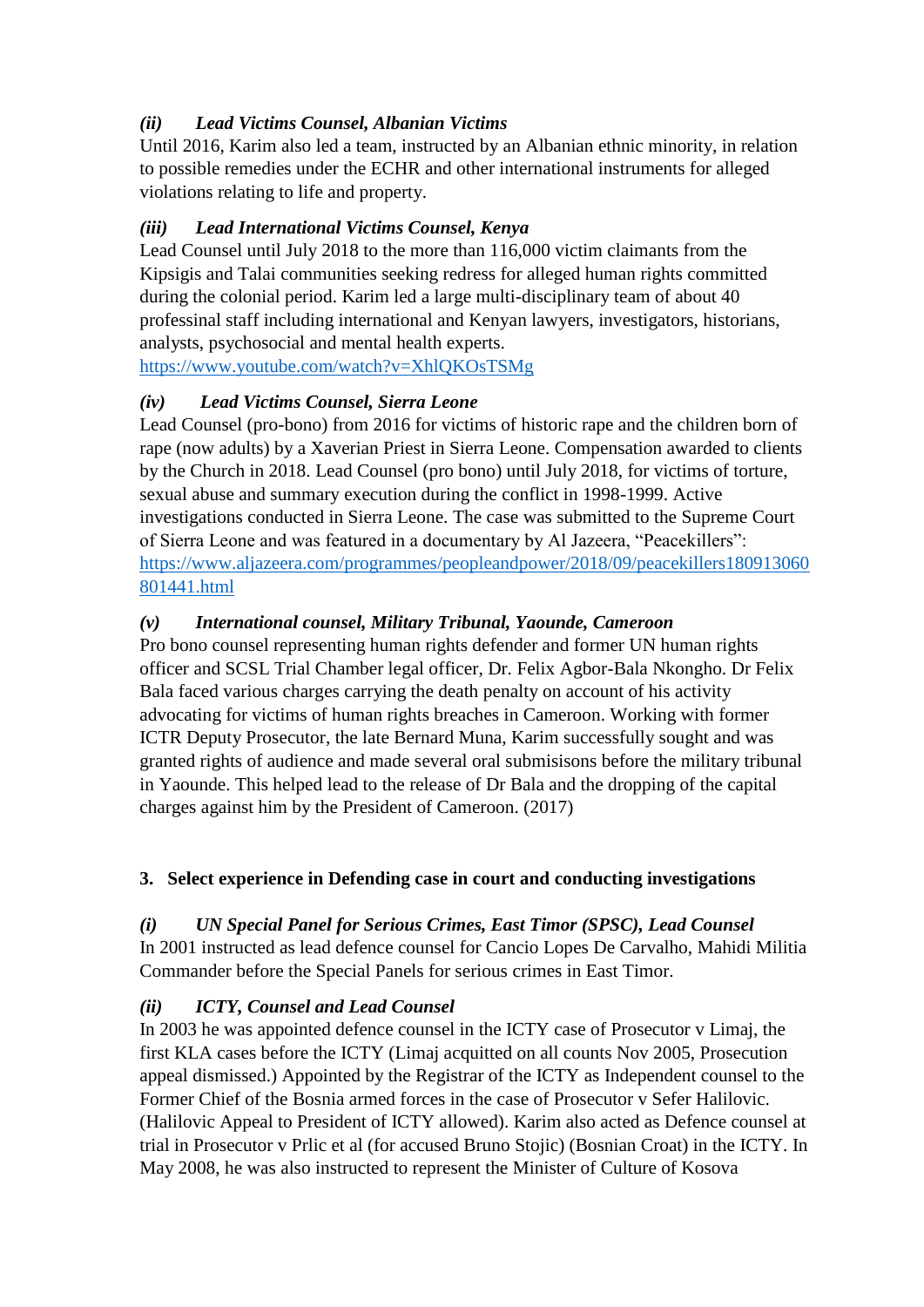## *(ii) Lead Victims Counsel, Albanian Victims*

Until 2016, Karim also led a team, instructed by an Albanian ethnic minority, in relation to possible remedies under the ECHR and other international instruments for alleged violations relating to life and property.

## *(iii) Lead International Victims Counsel, Kenya*

Lead Counsel until July 2018 to the more than 116,000 victim claimants from the Kipsigis and Talai communities seeking redress for alleged human rights committed during the colonial period. Karim led a large multi-disciplinary team of about 40 professinal staff including international and Kenyan lawyers, investigators, historians, analysts, psychosocial and mental health experts.

<https://www.youtube.com/watch?v=XhlQKOsTSMg>

# *(iv) Lead Victims Counsel, Sierra Leone*

Lead Counsel (pro-bono) from 2016 for victims of historic rape and the children born of rape (now adults) by a Xaverian Priest in Sierra Leone. Compensation awarded to clients by the Church in 2018. Lead Counsel (pro bono) until July 2018, for victims of torture, sexual abuse and summary execution during the conflict in 1998-1999. Active investigations conducted in Sierra Leone. The case was submitted to the Supreme Court of Sierra Leone and was featured in a documentary by Al Jazeera, "Peacekillers": [https://www.aljazeera.com/programmes/peopleandpower/2018/09/peacekillers180913060](https://www.aljazeera.com/programmes/peopleandpower/2018/09/peacekillers180913060801441.html) [801441.html](https://www.aljazeera.com/programmes/peopleandpower/2018/09/peacekillers180913060801441.html)

# *(v) International counsel, Military Tribunal, Yaounde, Cameroon*

Pro bono counsel representing human rights defender and former UN human rights officer and SCSL Trial Chamber legal officer, Dr. Felix Agbor-Bala Nkongho. Dr Felix Bala faced various charges carrying the death penalty on account of his activity advocating for victims of human rights breaches in Cameroon. Working with former ICTR Deputy Prosecutor, the late Bernard Muna, Karim successfully sought and was granted rights of audience and made several oral submisisons before the military tribunal in Yaounde. This helped lead to the release of Dr Bala and the dropping of the capital charges against him by the President of Cameroon. (2017)

# **3. Select experience in Defending case in court and conducting investigations**

## *(i) UN Special Panel for Serious Crimes, East Timor (SPSC), Lead Counsel*

In 2001 instructed as lead defence counsel for Cancio Lopes De Carvalho, Mahidi Militia Commander before the Special Panels for serious crimes in East Timor.

# *(ii) ICTY, Counsel and Lead Counsel*

In 2003 he was appointed defence counsel in the ICTY case of Prosecutor v Limaj, the first KLA cases before the ICTY (Limaj acquitted on all counts Nov 2005, Prosecution appeal dismissed.) Appointed by the Registrar of the ICTY as Independent counsel to the Former Chief of the Bosnia armed forces in the case of Prosecutor v Sefer Halilovic. (Halilovic Appeal to President of ICTY allowed). Karim also acted as Defence counsel at trial in Prosecutor v Prlic et al (for accused Bruno Stojic) (Bosnian Croat) in the ICTY. In May 2008, he was also instructed to represent the Minister of Culture of Kosova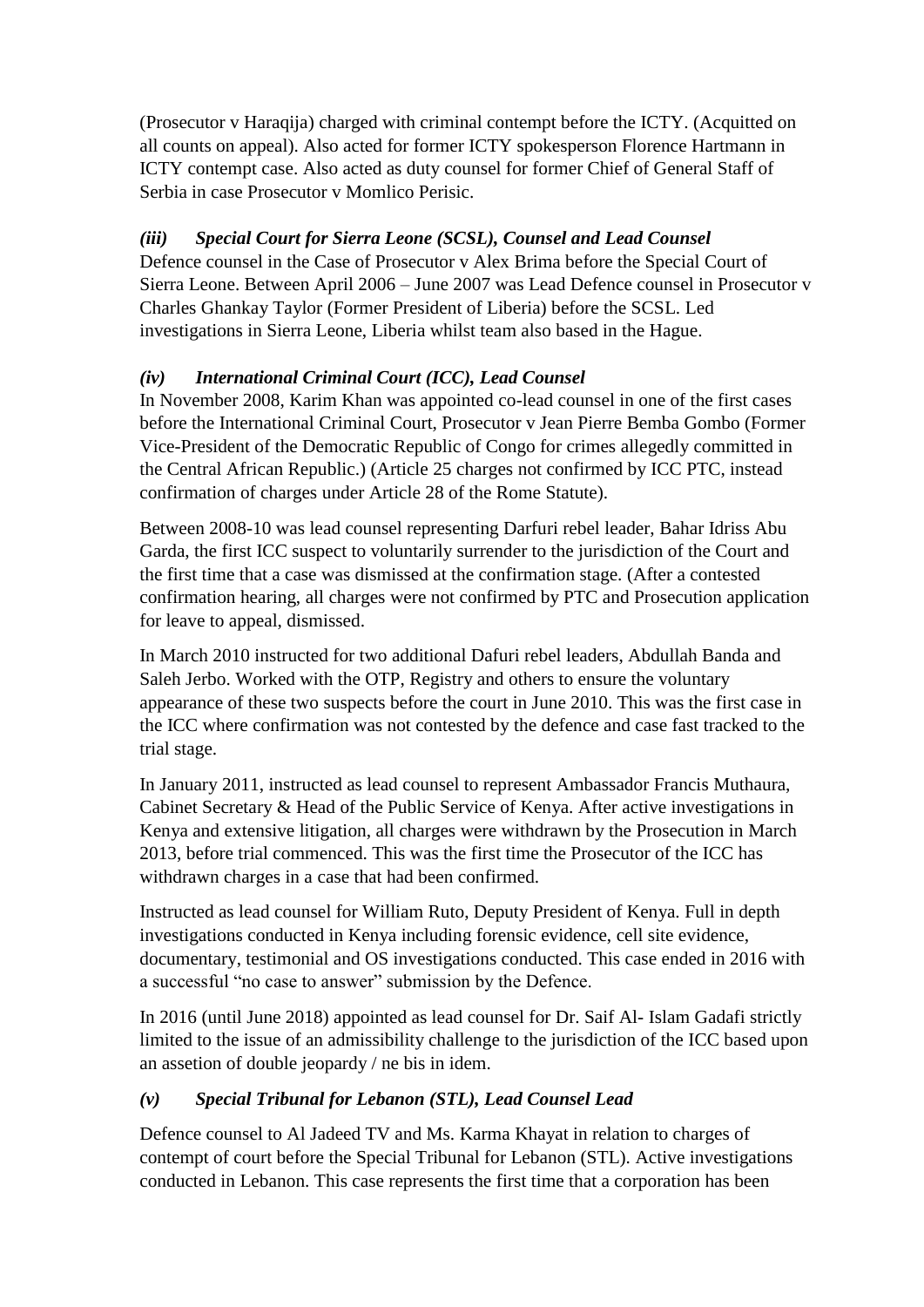(Prosecutor v Haraqija) charged with criminal contempt before the ICTY. (Acquitted on all counts on appeal). Also acted for former ICTY spokesperson Florence Hartmann in ICTY contempt case. Also acted as duty counsel for former Chief of General Staff of Serbia in case Prosecutor v Momlico Perisic.

# *(iii) Special Court for Sierra Leone (SCSL), Counsel and Lead Counsel*

Defence counsel in the Case of Prosecutor v Alex Brima before the Special Court of Sierra Leone. Between April 2006 – June 2007 was Lead Defence counsel in Prosecutor v Charles Ghankay Taylor (Former President of Liberia) before the SCSL. Led investigations in Sierra Leone, Liberia whilst team also based in the Hague.

# *(iv) International Criminal Court (ICC), Lead Counsel*

In November 2008, Karim Khan was appointed co-lead counsel in one of the first cases before the International Criminal Court, Prosecutor v Jean Pierre Bemba Gombo (Former Vice-President of the Democratic Republic of Congo for crimes allegedly committed in the Central African Republic.) (Article 25 charges not confirmed by ICC PTC, instead confirmation of charges under Article 28 of the Rome Statute).

Between 2008-10 was lead counsel representing Darfuri rebel leader, Bahar Idriss Abu Garda, the first ICC suspect to voluntarily surrender to the jurisdiction of the Court and the first time that a case was dismissed at the confirmation stage. (After a contested confirmation hearing, all charges were not confirmed by PTC and Prosecution application for leave to appeal, dismissed.

In March 2010 instructed for two additional Dafuri rebel leaders, Abdullah Banda and Saleh Jerbo. Worked with the OTP, Registry and others to ensure the voluntary appearance of these two suspects before the court in June 2010. This was the first case in the ICC where confirmation was not contested by the defence and case fast tracked to the trial stage.

In January 2011, instructed as lead counsel to represent Ambassador Francis Muthaura, Cabinet Secretary & Head of the Public Service of Kenya. After active investigations in Kenya and extensive litigation, all charges were withdrawn by the Prosecution in March 2013, before trial commenced. This was the first time the Prosecutor of the ICC has withdrawn charges in a case that had been confirmed.

Instructed as lead counsel for William Ruto, Deputy President of Kenya. Full in depth investigations conducted in Kenya including forensic evidence, cell site evidence, documentary, testimonial and OS investigations conducted. This case ended in 2016 with a successful "no case to answer" submission by the Defence.

In 2016 (until June 2018) appointed as lead counsel for Dr. Saif Al- Islam Gadafi strictly limited to the issue of an admissibility challenge to the jurisdiction of the ICC based upon an assetion of double jeopardy / ne bis in idem.

# *(v) Special Tribunal for Lebanon (STL), Lead Counsel Lead*

Defence counsel to Al Jadeed TV and Ms. Karma Khayat in relation to charges of contempt of court before the Special Tribunal for Lebanon (STL). Active investigations conducted in Lebanon. This case represents the first time that a corporation has been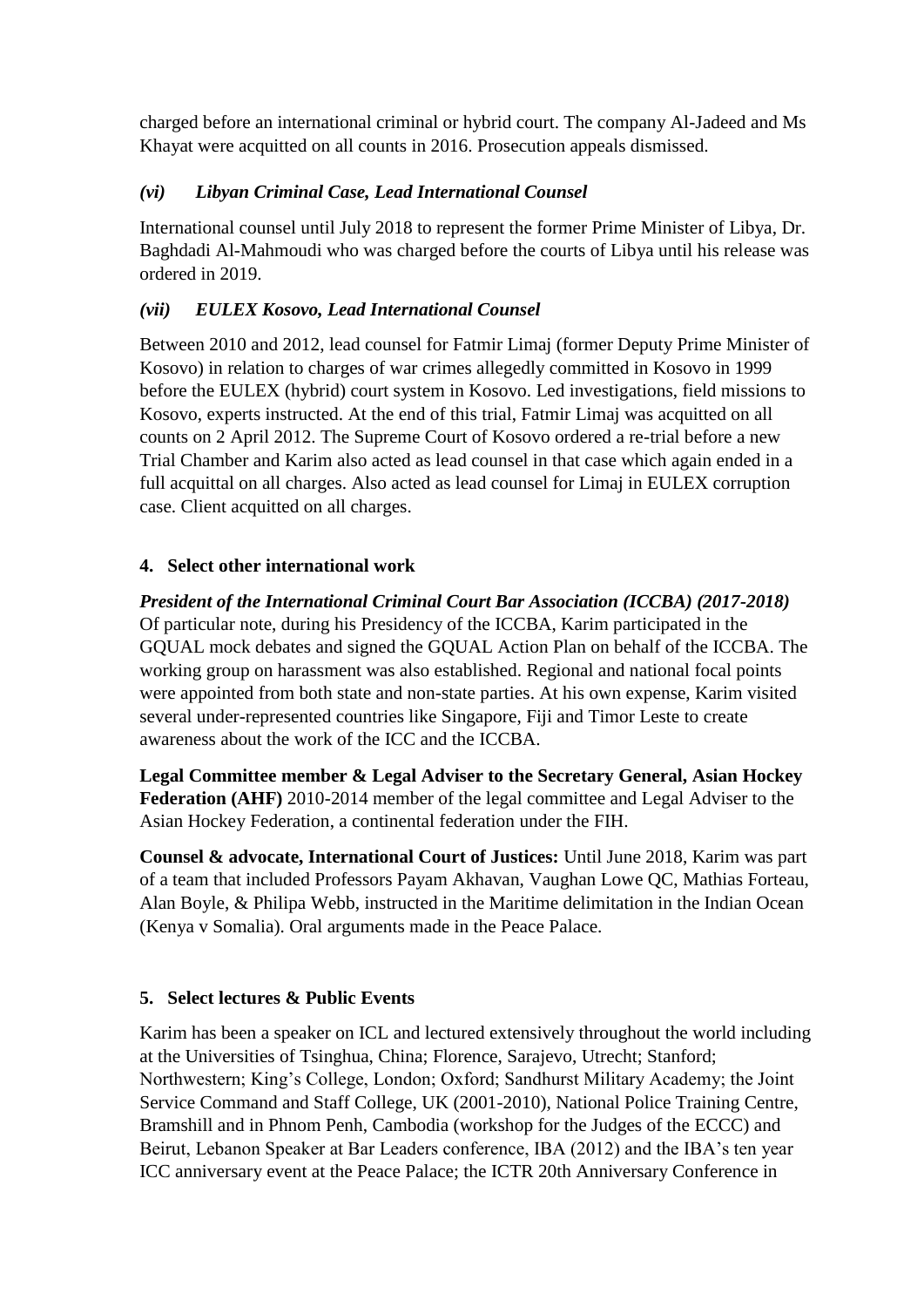charged before an international criminal or hybrid court. The company Al-Jadeed and Ms Khayat were acquitted on all counts in 2016. Prosecution appeals dismissed.

## *(vi) Libyan Criminal Case, Lead International Counsel*

International counsel until July 2018 to represent the former Prime Minister of Libya, Dr. Baghdadi Al-Mahmoudi who was charged before the courts of Libya until his release was ordered in 2019.

### *(vii) EULEX Kosovo, Lead International Counsel*

Between 2010 and 2012, lead counsel for Fatmir Limaj (former Deputy Prime Minister of Kosovo) in relation to charges of war crimes allegedly committed in Kosovo in 1999 before the EULEX (hybrid) court system in Kosovo. Led investigations, field missions to Kosovo, experts instructed. At the end of this trial, Fatmir Limaj was acquitted on all counts on 2 April 2012. The Supreme Court of Kosovo ordered a re-trial before a new Trial Chamber and Karim also acted as lead counsel in that case which again ended in a full acquittal on all charges. Also acted as lead counsel for Limaj in EULEX corruption case. Client acquitted on all charges.

### **4. Select other international work**

*President of the International Criminal Court Bar Association (ICCBA) (2017-2018)*  Of particular note, during his Presidency of the ICCBA, Karim participated in the GQUAL mock debates and signed the GQUAL Action Plan on behalf of the ICCBA. The working group on harassment was also established. Regional and national focal points were appointed from both state and non-state parties. At his own expense, Karim visited several under-represented countries like Singapore, Fiji and Timor Leste to create awareness about the work of the ICC and the ICCBA.

**Legal Committee member & Legal Adviser to the Secretary General, Asian Hockey Federation (AHF)** 2010-2014 member of the legal committee and Legal Adviser to the Asian Hockey Federation, a continental federation under the FIH.

**Counsel & advocate, International Court of Justices:** Until June 2018, Karim was part of a team that included Professors Payam Akhavan, Vaughan Lowe QC, Mathias Forteau, Alan Boyle, & Philipa Webb, instructed in the Maritime delimitation in the Indian Ocean (Kenya v Somalia). Oral arguments made in the Peace Palace.

### **5. Select lectures & Public Events**

Karim has been a speaker on ICL and lectured extensively throughout the world including at the Universities of Tsinghua, China; Florence, Sarajevo, Utrecht; Stanford; Northwestern; King's College, London; Oxford; Sandhurst Military Academy; the Joint Service Command and Staff College, UK (2001-2010), National Police Training Centre, Bramshill and in Phnom Penh, Cambodia (workshop for the Judges of the ECCC) and Beirut, Lebanon Speaker at Bar Leaders conference, IBA (2012) and the IBA's ten year ICC anniversary event at the Peace Palace; the ICTR 20th Anniversary Conference in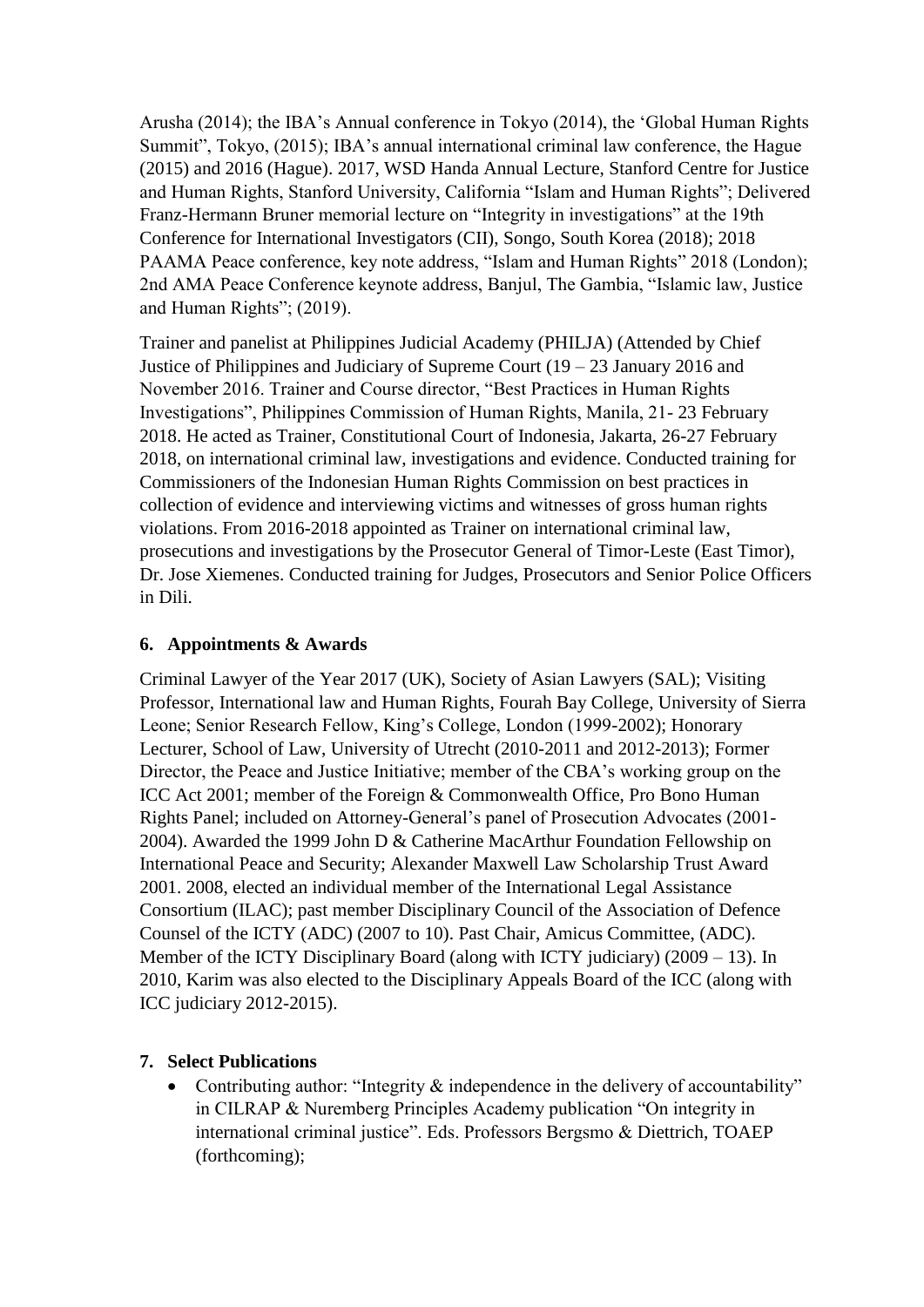Arusha (2014); the IBA's Annual conference in Tokyo (2014), the 'Global Human Rights Summit", Tokyo, (2015); IBA's annual international criminal law conference, the Hague (2015) and 2016 (Hague). 2017, WSD Handa Annual Lecture, Stanford Centre for Justice and Human Rights, Stanford University, California "Islam and Human Rights"; Delivered Franz-Hermann Bruner memorial lecture on "Integrity in investigations" at the 19th Conference for International Investigators (CII), Songo, South Korea (2018); 2018 PAAMA Peace conference, key note address, "Islam and Human Rights" 2018 (London); 2nd AMA Peace Conference keynote address, Banjul, The Gambia, "Islamic law, Justice and Human Rights"; (2019).

Trainer and panelist at Philippines Judicial Academy (PHILJA) (Attended by Chief Justice of Philippines and Judiciary of Supreme Court (19 – 23 January 2016 and November 2016. Trainer and Course director, "Best Practices in Human Rights Investigations", Philippines Commission of Human Rights, Manila, 21- 23 February 2018. He acted as Trainer, Constitutional Court of Indonesia, Jakarta, 26-27 February 2018, on international criminal law, investigations and evidence. Conducted training for Commissioners of the Indonesian Human Rights Commission on best practices in collection of evidence and interviewing victims and witnesses of gross human rights violations. From 2016-2018 appointed as Trainer on international criminal law, prosecutions and investigations by the Prosecutor General of Timor-Leste (East Timor), Dr. Jose Xiemenes. Conducted training for Judges, Prosecutors and Senior Police Officers in Dili.

### **6. Appointments & Awards**

Criminal Lawyer of the Year 2017 (UK), Society of Asian Lawyers (SAL); Visiting Professor, International law and Human Rights, Fourah Bay College, University of Sierra Leone; Senior Research Fellow, King's College, London (1999-2002); Honorary Lecturer, School of Law, University of Utrecht (2010-2011 and 2012-2013); Former Director, the Peace and Justice Initiative; member of the CBA's working group on the ICC Act 2001; member of the Foreign & Commonwealth Office, Pro Bono Human Rights Panel; included on Attorney-General's panel of Prosecution Advocates (2001- 2004). Awarded the 1999 John D & Catherine MacArthur Foundation Fellowship on International Peace and Security; Alexander Maxwell Law Scholarship Trust Award 2001. 2008, elected an individual member of the International Legal Assistance Consortium (ILAC); past member Disciplinary Council of the Association of Defence Counsel of the ICTY (ADC) (2007 to 10). Past Chair, Amicus Committee, (ADC). Member of the ICTY Disciplinary Board (along with ICTY judiciary) (2009 – 13). In 2010, Karim was also elected to the Disciplinary Appeals Board of the ICC (along with ICC judiciary 2012-2015).

### **7. Select Publications**

• Contributing author: "Integrity  $\&$  independence in the delivery of accountability" in CILRAP & Nuremberg Principles Academy publication "On integrity in international criminal justice". Eds. Professors Bergsmo & Diettrich, TOAEP (forthcoming);